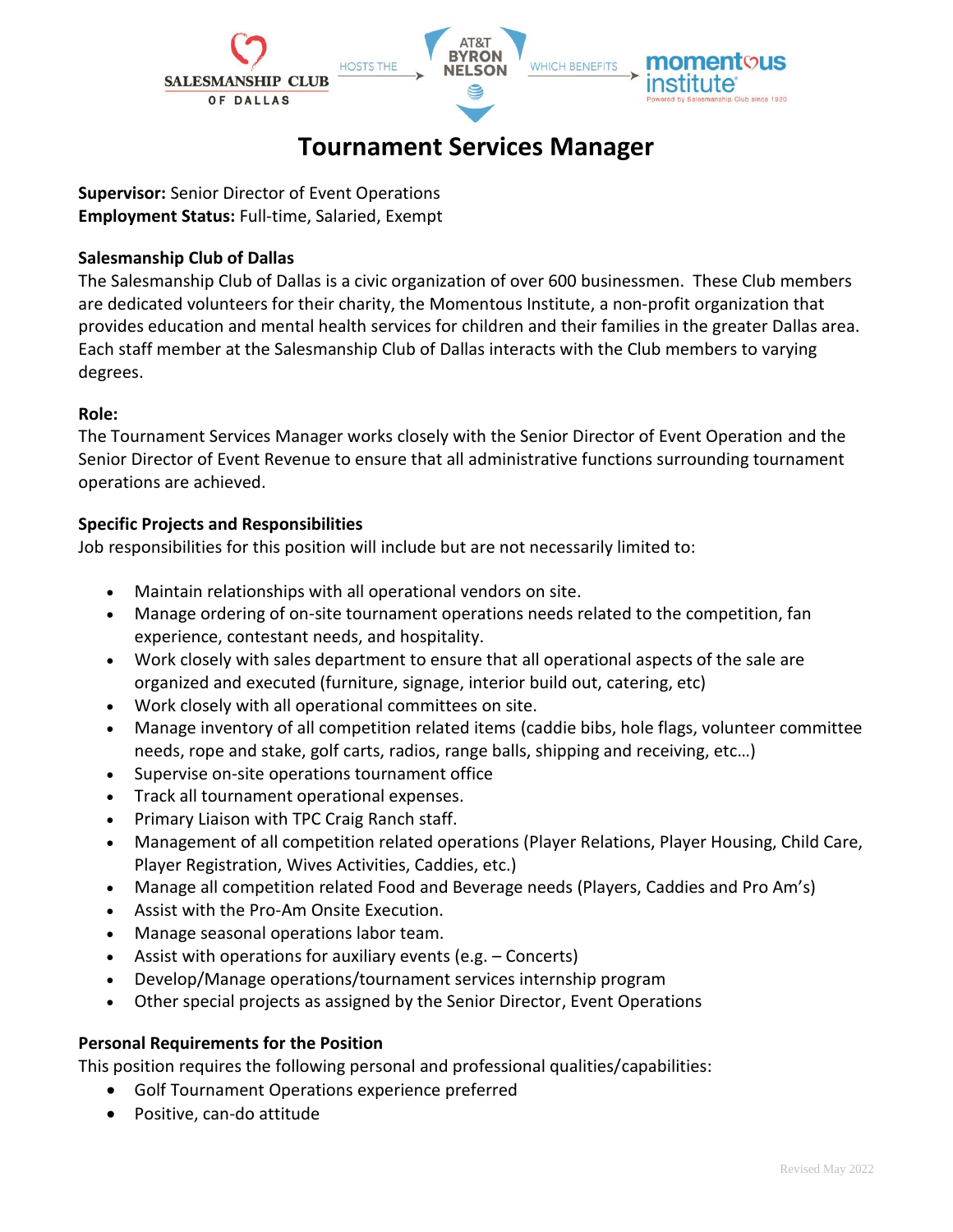

# **Tournament Services Manager**

**Supervisor:** Senior Director of Event Operations **Employment Status:** Full-time, Salaried, Exempt

### **Salesmanship Club of Dallas**

The Salesmanship Club of Dallas is a civic organization of over 600 businessmen. These Club members are dedicated volunteers for their charity, the Momentous Institute, a non-profit organization that provides education and mental health services for children and their families in the greater Dallas area. Each staff member at the Salesmanship Club of Dallas interacts with the Club members to varying degrees.

#### **Role:**

The Tournament Services Manager works closely with the Senior Director of Event Operation and the Senior Director of Event Revenue to ensure that all administrative functions surrounding tournament operations are achieved.

#### **Specific Projects and Responsibilities**

Job responsibilities for this position will include but are not necessarily limited to:

- Maintain relationships with all operational vendors on site.
- Manage ordering of on-site tournament operations needs related to the competition, fan experience, contestant needs, and hospitality.
- Work closely with sales department to ensure that all operational aspects of the sale are organized and executed (furniture, signage, interior build out, catering, etc)
- Work closely with all operational committees on site.
- Manage inventory of all competition related items (caddie bibs, hole flags, volunteer committee needs, rope and stake, golf carts, radios, range balls, shipping and receiving, etc…)
- Supervise on-site operations tournament office
- Track all tournament operational expenses.
- Primary Liaison with TPC Craig Ranch staff.
- Management of all competition related operations (Player Relations, Player Housing, Child Care, Player Registration, Wives Activities, Caddies, etc.)
- Manage all competition related Food and Beverage needs (Players, Caddies and Pro Am's)
- Assist with the Pro-Am Onsite Execution.
- Manage seasonal operations labor team.
- Assist with operations for auxiliary events (e.g. Concerts)
- Develop/Manage operations/tournament services internship program
- Other special projects as assigned by the Senior Director, Event Operations

#### **Personal Requirements for the Position**

This position requires the following personal and professional qualities/capabilities:

- Golf Tournament Operations experience preferred
- Positive, can-do attitude